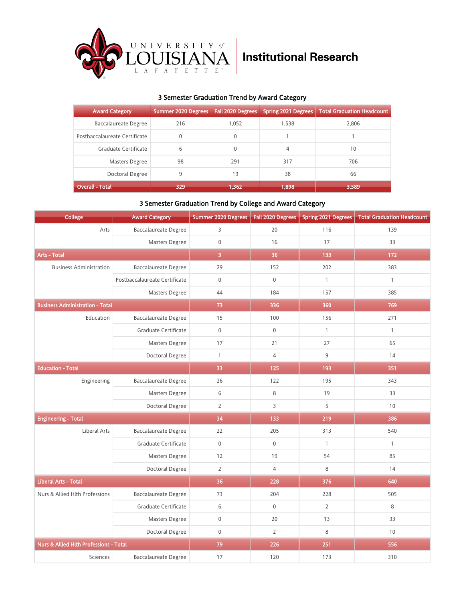

## 3 Semester Graduation Trend by Award Category

| <b>Award Category</b>         | <b>Summer 2020 Degrees</b> | Fall 2020 Degrees | Spring 2021 Degrees | <b>Total Graduation Headcount</b> |
|-------------------------------|----------------------------|-------------------|---------------------|-----------------------------------|
| Baccalaureate Degree          | 216                        | 1.052             | 1.538               | 2,806                             |
| Postbaccalaureate Certificate | $\mathbf{0}$               | 0                 |                     |                                   |
| Graduate Certificate          | 6                          | 0                 | 4                   | 10                                |
| Masters Degree                | 98                         | 291               | 317                 | 706                               |
| Doctoral Degree               | 9                          | 19                | 38                  | 66                                |
| Overall - Total               | 329                        | 1.362             | 1,898               | 3,589                             |

### 3 Semester Graduation Trend by College and Award Category

| College                                | <b>Award Category</b>         | Summer 2020 Degrees |                  | Fall 2020 Degrees   Spring 2021 Degrees | <b>Total Graduation Headcount</b> |
|----------------------------------------|-------------------------------|---------------------|------------------|-----------------------------------------|-----------------------------------|
| Arts                                   | <b>Baccalaureate Degree</b>   | 3                   | 20               | 116                                     | 139                               |
|                                        | Masters Degree                | $\boldsymbol{0}$    | 16               | 17                                      | 33                                |
| <b>Arts - Total</b>                    |                               | $\overline{3}$      | 36               | 133                                     | 172                               |
| <b>Business Administration</b>         | <b>Baccalaureate Degree</b>   | 29                  | 152              | 202                                     | 383                               |
|                                        | Postbaccalaureate Certificate | $\mathbf 0$         | $\mathbf 0$      | $\mathbf{1}$                            | $\mathbf{1}$                      |
|                                        | Masters Degree                | 44                  | 184              | 157                                     | 385                               |
| <b>Business Administration - Total</b> |                               | 73                  | 336              | 360                                     | 769                               |
| Education                              | <b>Baccalaureate Degree</b>   | 15                  | 100              | 156                                     | 271                               |
|                                        | Graduate Certificate          | $\mathbf 0$         | $\mathbf 0$      | $\mathbf{1}$                            | $\mathbf{1}$                      |
|                                        | Masters Degree                | 17                  | 21               | 27                                      | 65                                |
|                                        | Doctoral Degree               | $\mathbf{1}$        | $\overline{4}$   | 9                                       | 14                                |
| <b>Education - Total</b>               |                               | 33                  | 125              | 193                                     | 351                               |
| Engineering                            | <b>Baccalaureate Degree</b>   | 26                  | 122              | 195                                     | 343                               |
|                                        | Masters Degree                | 6                   | 8                | 19                                      | 33                                |
|                                        | Doctoral Degree               | $\overline{2}$      | $\overline{3}$   | 5                                       | 10                                |
| <b>Engineering - Total</b>             |                               | 34                  | 133              | 219                                     | 386                               |
| <b>Liberal Arts</b>                    | <b>Baccalaureate Degree</b>   | 22                  | 205              | 313                                     | 540                               |
|                                        | Graduate Certificate          | $\Omega$            | $\boldsymbol{0}$ | $\mathbf{1}$                            | $\mathbf{1}$                      |
|                                        | Masters Degree                | 12                  | 19               | 54                                      | 85                                |
|                                        | Doctoral Degree               | $\overline{2}$      | $\overline{4}$   | 8                                       | 14                                |
| Liberal Arts - Total                   |                               | 36                  | 228              | 376                                     | 640                               |
| Nurs & Allied Hlth Professions         | <b>Baccalaureate Degree</b>   | 73                  | 204              | 228                                     | 505                               |
|                                        | Graduate Certificate          | 6                   | $\mathbf 0$      | $\overline{2}$                          | 8                                 |
|                                        | Masters Degree                | $\mathsf{0}$        | 20               | 13                                      | 33                                |
|                                        | Doctoral Degree               | $\boldsymbol{0}$    | $\overline{2}$   | 8                                       | 10                                |
| Nurs & Allied Hlth Professions - Total |                               | 79                  | 226              | 251                                     | 556                               |
| Sciences                               | <b>Baccalaureate Degree</b>   | 17                  | 120              | 173                                     | 310                               |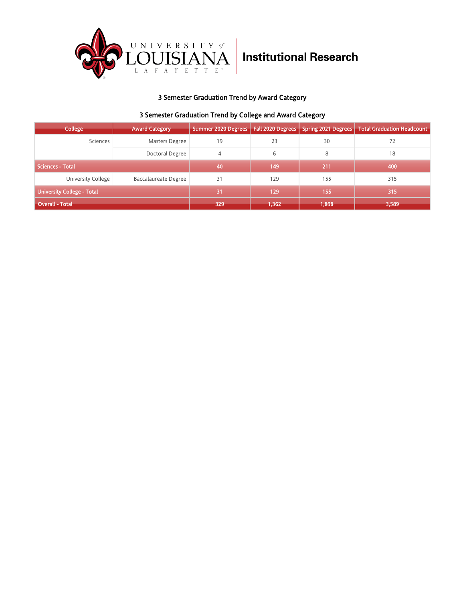

# **Institutional Research**

## 3 Semester Graduation Trend by Award Category

### 3 Semester Graduation Trend by College and Award Category

| <b>College</b>                    | <b>Award Category</b>       | Summer 2020 Degrees   Fall 2020 Degrees |       | <b>Spring 2021 Degrees</b> | <b>Total Graduation Headcount</b> |
|-----------------------------------|-----------------------------|-----------------------------------------|-------|----------------------------|-----------------------------------|
| Sciences                          | Masters Degree              | 19                                      | 23    | 30                         | 72                                |
|                                   | Doctoral Degree             | 4                                       | 6     | 8                          | 18                                |
| <b>Sciences - Total</b>           |                             | 40                                      | 149   | 211                        | 400                               |
| University College                | <b>Baccalaureate Degree</b> | 31                                      | 129   | 155                        | 315                               |
| <b>University College - Total</b> |                             | 31                                      | 129   | 155                        | 315                               |
| <b>Overall - Total</b>            |                             | 329                                     | 1,362 | 1,898                      | 3,589                             |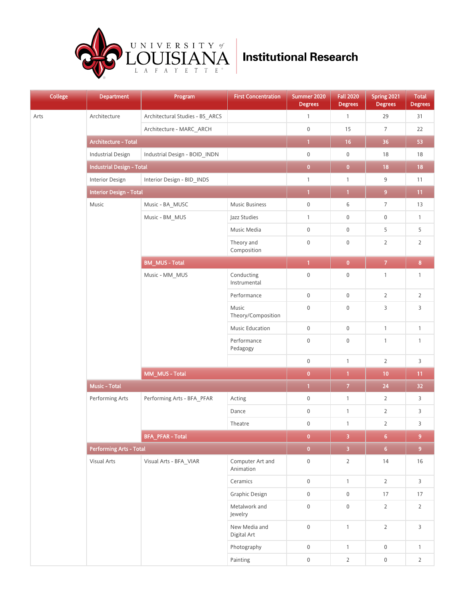

| <b>College</b> | <b>Department</b>                | <b>Program</b>                  | <b>First Concentration</b>    | Summer 2020<br><b>Degrees</b> | <b>Fall 2020</b><br><b>Degrees</b> | Spring 2021<br><b>Degrees</b> | <b>Total</b><br><b>Degrees</b> |
|----------------|----------------------------------|---------------------------------|-------------------------------|-------------------------------|------------------------------------|-------------------------------|--------------------------------|
| Arts           | Architecture                     | Architectural Studies - BS_ARCS |                               | $\mathbf{1}$                  | $\mathbf{1}$                       | 29                            | 31                             |
|                |                                  | Architecture - MARC_ARCH        |                               | $\mathbf 0$                   | 15                                 | $\overline{7}$                | 22                             |
|                | Architecture - Total             |                                 |                               | $\overline{1}$                | 16                                 | 36                            | 53                             |
|                | <b>Industrial Design</b>         | Industrial Design - BOID_INDN   |                               | $\mathsf 0$                   | $\boldsymbol{0}$                   | 18                            | 18                             |
|                | <b>Industrial Design - Total</b> |                                 |                               | $\overline{\mathbf{0}}$       | $\pmb{0}$                          | 18                            | 18                             |
|                | Interior Design                  | Interior Design - BID_INDS      |                               | $\mathbf{1}$                  | $\mathbf{1}$                       | 9                             | 11                             |
|                | <b>Interior Design - Total</b>   |                                 |                               | $\overline{1}$                | $\mathbf{1}$                       | 9                             | 11 <sub>1</sub>                |
|                | Music                            | Music - BA_MUSC                 | Music Business                | $\mathsf 0$                   | 6                                  | $\overline{7}$                | 13                             |
|                |                                  | Music - BM_MUS                  | Jazz Studies                  | $\mathbf{1}$                  | $\boldsymbol{0}$                   | $\mathsf{0}$                  | $\mathbf{1}$                   |
|                |                                  |                                 | Music Media                   | $\mathsf 0$                   | $\boldsymbol{0}$                   | 5                             | 5                              |
|                |                                  |                                 | Theory and<br>Composition     | $\boldsymbol{0}$              | $\boldsymbol{0}$                   | $\overline{2}$                | $\overline{2}$                 |
|                |                                  | <b>BM_MUS-Total</b>             |                               | $\overline{1}$                | $\pmb{0}$                          | $\overline{7}$                | $\overline{\mathbf{8}}$        |
|                |                                  | Music - MM_MUS                  | Conducting<br>Instrumental    | $\boldsymbol{0}$              | $\boldsymbol{0}$                   | $\mathbf{1}$                  | $\mathbf{1}$                   |
|                |                                  |                                 | Performance                   | $\mathsf 0$                   | $\mathbf 0$                        | $\overline{2}$                | $\overline{2}$                 |
|                |                                  |                                 | Music<br>Theory/Composition   | $\mathsf 0$                   | $\boldsymbol{0}$                   | 3                             | $\mathsf{3}$                   |
|                |                                  |                                 | <b>Music Education</b>        | $\mathsf 0$                   | $\boldsymbol{0}$                   | $\mathbf{1}$                  | $\mathbf{1}$                   |
|                |                                  |                                 | Performance<br>Pedagogy       | $\mathbf 0$                   | $\boldsymbol{0}$                   | $\mathbf{1}$                  | $\mathbf{1}$                   |
|                |                                  |                                 |                               | $\mathbf 0$                   | $\mathbf{1}$                       | $\overline{2}$                | $\mathsf{3}$                   |
|                |                                  | MM_MUS - Total                  |                               | $\pmb{0}$                     | $\mathbf{1}$                       | 10                            | 11 <sub>1</sub>                |
|                | <b>Music - Total</b>             |                                 |                               | $\overline{1}$                | $\overline{z}$                     | ${\bf 24}$                    | 32 <sub>2</sub>                |
|                | Performing Arts                  | Performing Arts - BFA PFAR      | Acting                        | $\boldsymbol{0}$              | $\mathbf{1}$                       | $\overline{2}$                | 3                              |
|                |                                  |                                 | Dance                         | $\boldsymbol{0}$              | $\mathbf{1}$                       | $\overline{2}$                | $\mathsf{3}$                   |
|                |                                  |                                 | Theatre                       | $\boldsymbol{0}$              | $\mathbf{1}$                       | $\overline{2}$                | 3                              |
|                |                                  | <b>BFA_PFAR - Total</b>         |                               | $\overline{\mathbf{0}}$       | $\overline{\mathbf{3}}$            | 6 <sup>1</sup>                | $9\,$                          |
|                | <b>Performing Arts - Total</b>   |                                 |                               | $\overline{0}$                | $\overline{3}$                     | 6 <sup>7</sup>                | 9 <sup>°</sup>                 |
|                | Visual Arts                      | Visual Arts - BFA_VIAR          | Computer Art and<br>Animation | $\mathbf 0$                   | $\mathbf 2$                        | $14$                          | $16\,$                         |
|                |                                  |                                 | Ceramics                      | $\mathsf 0$                   | $\mathbf{1}$                       | $\overline{2}$                | $\mathsf{3}$                   |
|                |                                  |                                 | Graphic Design                | $\mathbf 0$                   | $\boldsymbol{0}$                   | 17                            | 17                             |
|                |                                  |                                 | Metalwork and<br>Jewelry      | $\mathbf 0$                   | $\mathsf 0$                        | $\overline{2}$                | $\mathbf 2$                    |
|                |                                  |                                 | New Media and<br>Digital Art  | $\mathsf 0$                   | $\mathbf{1}$                       | $\overline{2}$                | $\mathsf{3}$                   |
|                |                                  |                                 | Photography                   | $\mathsf 0$                   | $\mathbf{1}$                       | $\boldsymbol{0}$              | $\mathbf{1}$                   |
|                |                                  |                                 | Painting                      | $\mathbf 0$                   | $\overline{2}$                     | $\boldsymbol{0}$              | $\overline{2}$                 |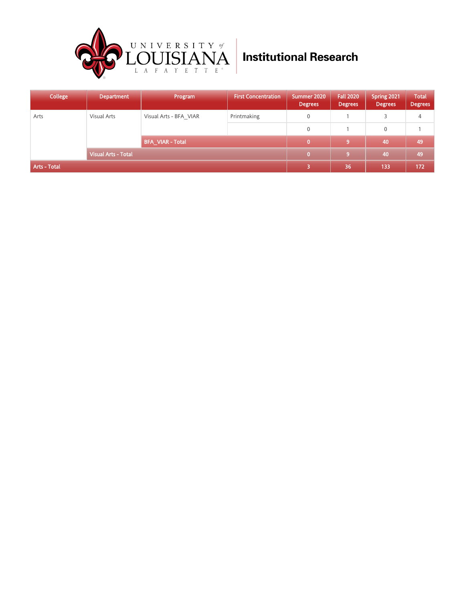

| College      | <b>Department</b>          | Program                 | <b>First Concentration</b> | Summer 2020<br><b>Degrees</b> | <b>Fall 2020</b><br><b>Degrees</b> | Spring 2021<br><b>Degrees</b> | <b>Total</b><br><b>Degrees</b> |
|--------------|----------------------------|-------------------------|----------------------------|-------------------------------|------------------------------------|-------------------------------|--------------------------------|
| Arts         | Visual Arts                | Visual Arts - BFA VIAR  | Printmaking                | 0                             |                                    | 3                             | 4                              |
|              |                            |                         |                            | 0                             |                                    | $\mathbf 0$                   |                                |
|              |                            | <b>BFA VIAR - Total</b> |                            | $\bf{0}$                      | 9                                  | 40                            | 49                             |
|              | <b>Visual Arts - Total</b> |                         |                            | $\mathbf{0}$                  | -9                                 | 40                            | 49                             |
| Arts - Total |                            |                         |                            | 5                             | 36                                 | 133                           | 172                            |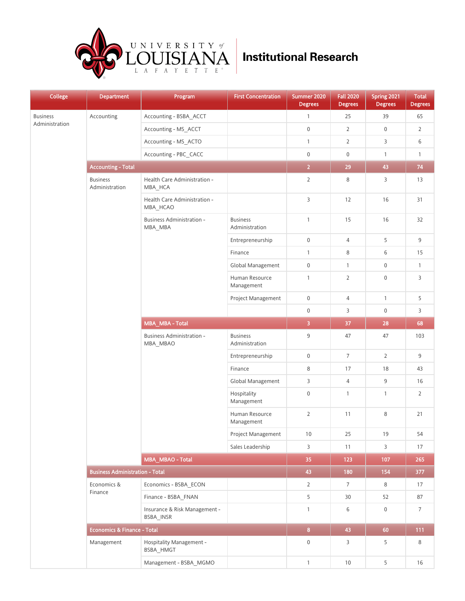

| <b>College</b>  | <b>Department</b>                      | Program                                      | <b>First Concentration</b>        | Summer 2020<br><b>Degrees</b> | <b>Fall 2020</b><br><b>Degrees</b> | Spring 2021<br><b>Degrees</b> | <b>Total</b><br><b>Degrees</b> |
|-----------------|----------------------------------------|----------------------------------------------|-----------------------------------|-------------------------------|------------------------------------|-------------------------------|--------------------------------|
| <b>Business</b> | Accounting                             | Accounting - BSBA_ACCT                       |                                   | $\mathbf{1}$                  | 25                                 | 39                            | 65                             |
| Administration  |                                        | Accounting - MS_ACCT                         |                                   | $\boldsymbol{0}$              | $\overline{2}$                     | $\mathbf 0$                   | $\overline{2}$                 |
|                 |                                        | Accounting - MS_ACTO                         |                                   | $\mathbf{1}$                  | $\overline{2}$                     | 3                             | 6                              |
|                 |                                        | Accounting - PBC_CACC                        |                                   | $\mathbf 0$                   | $\boldsymbol{0}$                   | $\mathbf{1}$                  | $\mathbf{1}$                   |
|                 | <b>Accounting - Total</b>              |                                              |                                   | $\overline{2}$                | 29                                 | 43                            | 74                             |
|                 | <b>Business</b><br>Administration      | Health Care Administration -<br>MBA_HCA      |                                   | $\overline{2}$                | 8                                  | 3                             | 13                             |
|                 |                                        | Health Care Administration -<br>MBA_HCAO     |                                   | $\mathsf{3}$                  | 12                                 | 16                            | 31                             |
|                 |                                        | Business Administration -<br>MBA_MBA         | <b>Business</b><br>Administration | $\mathbf{1}$                  | 15                                 | 16                            | 32                             |
|                 |                                        |                                              | Entrepreneurship                  | $\mathbf 0$                   | $\overline{4}$                     | 5                             | 9                              |
|                 |                                        |                                              | Finance                           | $\mathbf{1}$                  | 8                                  | 6                             | 15                             |
|                 |                                        |                                              | Global Management                 | $\mathbf 0$                   | $\mathbf{1}$                       | $\mathsf{0}$                  | $\mathbf{1}$                   |
|                 |                                        |                                              | Human Resource<br>Management      | $\mathbf{1}$                  | $\overline{2}$                     | $\mathsf{0}$                  | 3                              |
|                 |                                        |                                              | Project Management                | $\boldsymbol{0}$              | $\overline{4}$                     | $\mathbf{1}$                  | 5                              |
|                 |                                        |                                              |                                   | $\mathbf 0$                   | 3                                  | $\mathsf{0}$                  | 3                              |
|                 |                                        | MBA_MBA - Total                              |                                   | $\overline{\mathbf{3}}$       | 37                                 | 28                            | 68                             |
|                 |                                        | <b>Business Administration -</b><br>MBA_MBAO | <b>Business</b><br>Administration | 9                             | 47                                 | 47                            | 103                            |
|                 |                                        |                                              | Entrepreneurship                  | $\mathsf 0$                   | $\overline{7}$                     | $\overline{2}$                | 9                              |
|                 |                                        |                                              | Finance                           | $\,8\,$                       | 17                                 | 18                            | 43                             |
|                 |                                        |                                              | Global Management                 | 3                             | $\overline{4}$                     | 9                             | 16                             |
|                 |                                        |                                              | Hospitality<br>Management         | $\mathbf 0$                   | $\mathbf{1}$                       | $\mathbf{1}$                  | $\overline{2}$                 |
|                 |                                        |                                              | Human Resource<br>Management      | $\overline{2}$                | 11                                 | 8                             | 21                             |
|                 |                                        |                                              | Project Management                | 10                            | 25                                 | 19                            | 54                             |
|                 |                                        |                                              | Sales Leadership                  | 3                             | 11                                 | 3                             | 17                             |
|                 |                                        | MBA_MBAO - Total                             |                                   | 35                            | 123                                | 107                           | 265                            |
|                 | <b>Business Administration - Total</b> |                                              |                                   | 43                            | 180                                | 154                           | 377                            |
|                 | Economics &                            | Economics - BSBA_ECON                        |                                   | $\overline{2}$                | $7\overline{ }$                    | 8                             | 17                             |
|                 | Finance                                | Finance - BSBA_FNAN                          |                                   | 5                             | 30                                 | 52                            | 87                             |
|                 |                                        | Insurance & Risk Management -<br>BSBA INSR   |                                   | $\mathbf{1}$                  | 6                                  | 0                             | $\overline{7}$                 |
|                 | <b>Economics &amp; Finance - Total</b> |                                              |                                   | 8 <sup>1</sup>                | 43                                 | 60                            | 111                            |
|                 | Management                             | Hospitality Management -<br>BSBA HMGT        |                                   | $\mathsf 0$                   | 3                                  | 5                             | 8                              |
|                 |                                        | Management - BSBA_MGMO                       |                                   | $\mathbf{1}$                  | $10$                               | 5                             | 16                             |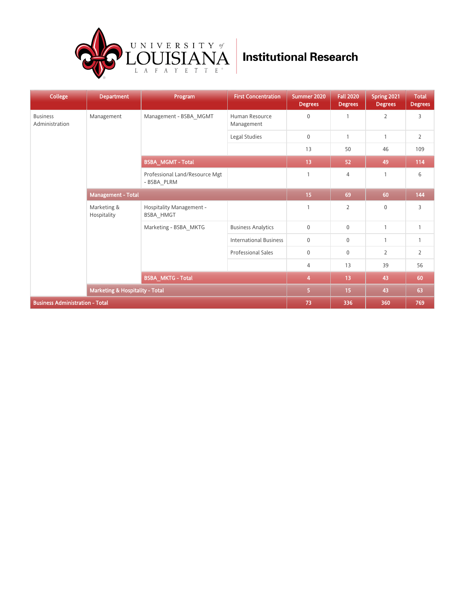

| <b>College</b>                         | <b>Department</b>               | Program                                       | <b>First Concentration</b>    | Summer 2020<br><b>Degrees</b> | <b>Fall 2020</b><br><b>Degrees</b> | Spring 2021<br><b>Degrees</b> | <b>Total</b><br><b>Degrees</b> |
|----------------------------------------|---------------------------------|-----------------------------------------------|-------------------------------|-------------------------------|------------------------------------|-------------------------------|--------------------------------|
| <b>Business</b><br>Administration      | Management                      | Management - BSBA MGMT                        | Human Resource<br>Management  | $\mathbf 0$                   | $\overline{1}$                     | $\overline{2}$                | 3                              |
|                                        |                                 |                                               | Legal Studies                 | $\mathbf 0$                   | $\mathbf{1}$                       | $\mathbf{1}$                  | $\overline{2}$                 |
|                                        |                                 |                                               |                               | 13                            | 50                                 | 46                            | 109                            |
|                                        |                                 | <b>BSBA_MGMT-Total</b>                        |                               | 13                            | 52                                 | 49                            | 114                            |
|                                        |                                 | Professional Land/Resource Mgt<br>- BSBA PLRM |                               | $\overline{1}$                | 4                                  | $\overline{1}$                | 6                              |
|                                        | <b>Management - Total</b>       |                                               | 15                            | 69                            | 60                                 | 144                           |                                |
|                                        | Marketing &<br>Hospitality      | Hospitality Management -<br><b>BSBA HMGT</b>  |                               | $\mathbf{1}$                  | $\overline{2}$                     | $\Omega$                      | 3                              |
|                                        |                                 | Marketing - BSBA MKTG                         | <b>Business Analytics</b>     | $\mathbf 0$                   | $\mathbf{0}$                       | $\mathbf{1}$                  | $\mathbf{1}$                   |
|                                        |                                 |                                               | <b>International Business</b> | $\mathbf 0$                   | $\mathbf 0$                        | $\mathbf{1}$                  | $\mathbf{1}$                   |
|                                        |                                 |                                               | <b>Professional Sales</b>     | $\mathbf 0$                   | $\mathbf 0$                        | $\overline{2}$                | $\overline{2}$                 |
|                                        |                                 |                                               |                               | $\overline{4}$                | 13                                 | 39                            | 56                             |
|                                        |                                 | <b>BSBA_MKTG - Total</b>                      |                               |                               |                                    | 43                            | 60                             |
|                                        | Marketing & Hospitality - Total | $\overline{5}$                                | 15                            | 43                            | 63                                 |                               |                                |
| <b>Business Administration - Total</b> |                                 |                                               |                               | 73                            | 336                                | 360                           | 769                            |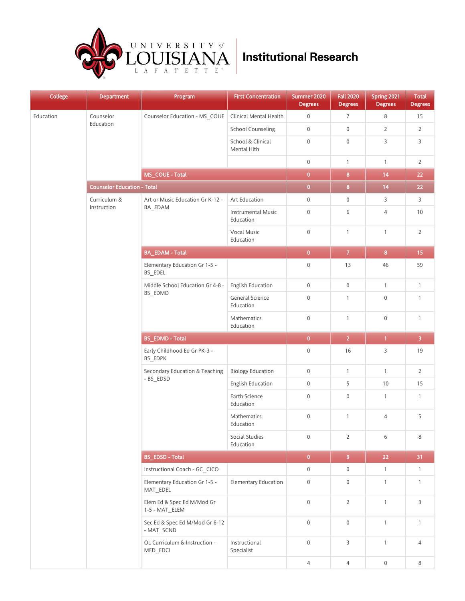

| <b>College</b> | <b>Department</b>                  | Program<br>_                                 | <b>First Concentration</b>             | Summer 2020<br><b>Degrees</b> | <b>Fall 2020</b><br><b>Degrees</b> | Spring 2021<br><b>Degrees</b> | <b>Total</b><br><b>Degrees</b> |
|----------------|------------------------------------|----------------------------------------------|----------------------------------------|-------------------------------|------------------------------------|-------------------------------|--------------------------------|
| Education      | Counselor                          | Counselor Education - MS_COUE                | <b>Clinical Mental Health</b>          | $\mathbf 0$                   | $\overline{7}$                     | 8                             | 15                             |
|                | Education                          |                                              | <b>School Counseling</b>               | $\mathbf 0$                   | $\mathbb O$                        | $\overline{2}$                | $\overline{2}$                 |
|                |                                    |                                              | School & Clinical<br>Mental Hlth       | $\mathbf 0$                   | $\bf 0$                            | 3                             | 3                              |
|                |                                    |                                              |                                        | $\mathbf 0$                   | $\mathbf{1}$                       | $\mathbf{1}$                  | $\overline{2}$                 |
|                |                                    | MS_COUE - Total                              |                                        | $\bullet$                     | $\bf{8}$                           | 14                            | 22                             |
|                | <b>Counselor Education - Total</b> |                                              |                                        | $\bullet$                     | 8 <sup>1</sup>                     | 14                            | 22                             |
|                | Curriculum &                       | Art or Music Education Gr K-12 -             | Art Education                          | $\mathbf 0$                   | $\boldsymbol{0}$                   | 3                             | 3                              |
|                | Instruction                        | BA_EDAM                                      | <b>Instrumental Music</b><br>Education | $\mathbf 0$                   | 6                                  | $\overline{4}$                | $10\,$                         |
|                |                                    |                                              | Vocal Music<br>Education               | $\mathbf 0$                   | $\mathbf{1}$                       | $\mathbf{1}$                  | $\overline{2}$                 |
|                |                                    | <b>BA_EDAM - Total</b>                       |                                        | $\pmb{0}$                     | $\mathbf{7}$                       | $\bf{8}$                      | 15                             |
|                |                                    | Elementary Education Gr 1-5 -<br>BS_EDEL     |                                        | $\boldsymbol{0}$              | 13                                 | 46                            | 59                             |
|                |                                    | Middle School Education Gr 4-8 -             | <b>English Education</b>               | $\mathbf 0$                   | $\bf 0$                            | $\mathbf{1}$                  | $\mathbf{1}$                   |
|                |                                    | BS_EDMD                                      | General Science<br>Education           | $\mathbf 0$                   | $\mathbf{1}$                       | $\mathbf 0$                   | $\mathbf{1}$                   |
|                |                                    |                                              | Mathematics<br>Education               | $\mathbf 0$                   | $\mathbf{1}$                       | $\mathbf 0$                   | $\mathbf{1}$                   |
|                |                                    | <b>BS_EDMD - Total</b>                       |                                        | $\pmb{0}$                     | $\overline{2}$                     | $\overline{1}$                | $\overline{\mathbf{3}}$        |
|                |                                    | Early Childhood Ed Gr PK-3 -<br>BS_EDPK      |                                        | $\boldsymbol{0}$              | 16                                 | 3                             | $19$                           |
|                |                                    | Secondary Education & Teaching               | <b>Biology Education</b>               | $\mathbb O$                   | $\mathbf{1}$                       | $\mathbf{1}$                  | $\overline{2}$                 |
|                |                                    | - BS_EDSD                                    | <b>English Education</b>               | $\boldsymbol{0}$              | 5                                  | 10                            | 15                             |
|                |                                    |                                              | Earth Science<br>Education             | $\boldsymbol{0}$              | $\boldsymbol{0}$                   | $\mathbf{1}$                  | $\mathbf{1}$                   |
|                |                                    |                                              | Mathematics<br>Education               | $\boldsymbol{0}$              | $\mathbf{1}$                       | $\sqrt{4}$                    | 5                              |
|                |                                    |                                              | Social Studies<br>Education            | $\boldsymbol{0}$              | $\overline{2}$                     | 6                             | 8                              |
|                |                                    | <b>BS_EDSD - Total</b>                       |                                        | $\bullet$                     | 9 <sup>°</sup>                     | 22                            | 31                             |
|                |                                    | Instructional Coach - GC_CICO                |                                        | $\boldsymbol{0}$              | $\mathbf 0$                        | $\mathbf{1}$                  | $\mathbf{1}$                   |
|                |                                    | Elementary Education Gr 1-5 -<br>MAT_EDEL    | <b>Elementary Education</b>            | $\mathbb O$                   | $\boldsymbol{0}$                   | $\mathbf{1}$                  | $\mathbf{1}$                   |
|                |                                    | Elem Ed & Spec Ed M/Mod Gr<br>1-5 - MAT_ELEM |                                        | $\mathbb O$                   | $\overline{2}$                     | $\mathbf{1}$                  | 3                              |
|                |                                    | Sec Ed & Spec Ed M/Mod Gr 6-12<br>- MAT_SCND |                                        | $\mathbf 0$                   | $\mathsf 0$                        | $\mathbf{1}$                  | $\mathbf{1}$                   |
|                |                                    | OL Curriculum & Instruction -<br>MED_EDCI    | Instructional<br>Specialist            | $\mathbb O$                   | 3                                  | $\mathbf{1}$                  | 4                              |
|                |                                    |                                              |                                        | 4                             | $\overline{4}$                     | $\boldsymbol{0}$              | 8                              |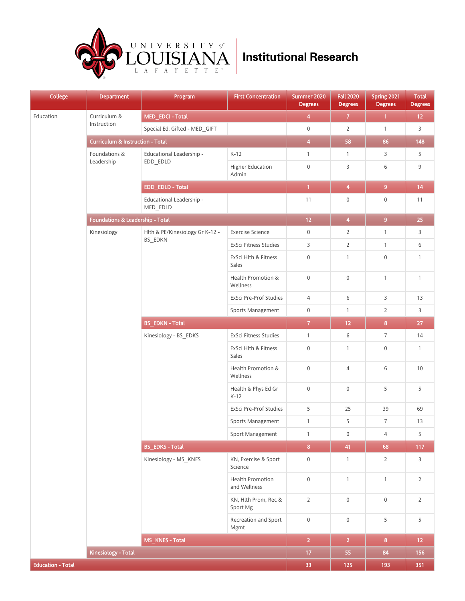

| <b>College</b>           | <b>Department</b>                           | Program<br>_                         | <b>First Concentration</b>              | Summer 2020<br><b>Degrees</b> | <b>Fall 2020</b><br><b>Degrees</b> | Spring 2021<br><b>Degrees</b> | <b>Total</b><br><b>Degrees</b> |
|--------------------------|---------------------------------------------|--------------------------------------|-----------------------------------------|-------------------------------|------------------------------------|-------------------------------|--------------------------------|
| Education                | Curriculum &                                | MED_EDCI - Total                     |                                         | $\overline{\mathbf{4}}$       | $\boldsymbol{7}$                   | $\mathbf{1}$                  | $12 \overline{ }$              |
|                          | Instruction                                 | Special Ed: Gifted - MED_GIFT        |                                         | $\boldsymbol{0}$              | $\overline{2}$                     | $\mathbf{1}$                  | 3                              |
|                          | <b>Curriculum &amp; Instruction - Total</b> |                                      |                                         | $\overline{4}$                | 58                                 | 86                            | 148                            |
|                          | Foundations &                               | Educational Leadership -             | $K-12$                                  | $\mathbf{1}$                  | $\mathbf{1}$                       | 3                             | 5                              |
|                          | Leadership                                  | EDD_EDLD                             | Higher Education<br>Admin               | $\boldsymbol{0}$              | 3                                  | 6                             | 9                              |
|                          |                                             | EDD_EDLD - Total                     |                                         | $\overline{1}$                | $\boldsymbol{4}$                   | 9 <sup>°</sup>                | 14                             |
|                          |                                             | Educational Leadership -<br>MED_EDLD |                                         | $11$                          | $\boldsymbol{0}$                   | $\boldsymbol{0}$              | 11                             |
|                          | Foundations & Leadership - Total            |                                      |                                         | 12 <sub>1</sub>               | $\overline{\mathbf{4}}$            | 9 <sup>°</sup>                | 25                             |
|                          | Kinesiology                                 | Hlth & PE/Kinesiology Gr K-12 -      | <b>Exercise Science</b>                 | $\boldsymbol{0}$              | $\overline{2}$                     | $\mathbf{1}$                  | 3                              |
|                          |                                             | BS_EDKN                              | ExSci Fitness Studies                   | 3                             | $\overline{2}$                     | $\mathbf{1}$                  | 6                              |
|                          |                                             |                                      | ExSci Hlth & Fitness<br>Sales           | $\boldsymbol{0}$              | $\mathbf{1}$                       | $\mathbf 0$                   | $\mathbf{1}$                   |
|                          |                                             |                                      | Health Promotion &<br>Wellness          | $\boldsymbol{0}$              | $\boldsymbol{0}$                   | $\mathbf{1}$                  | $\mathbf{1}$                   |
|                          |                                             |                                      | ExSci Pre-Prof Studies                  | 4                             | 6                                  | 3                             | 13                             |
|                          |                                             |                                      | Sports Management                       | $\boldsymbol{0}$              | $\mathbf{1}$                       | $\overline{2}$                | 3                              |
|                          |                                             | <b>BS_EDKN - Total</b>               |                                         | $\overline{7}$                | 12                                 | $\bf{8}$                      | $27\,$                         |
|                          |                                             | Kinesiology - BS_EDKS                | ExSci Fitness Studies                   | $\mathbf{1}$                  | 6                                  | $\overline{7}$                | 14                             |
|                          |                                             |                                      | ExSci Hlth & Fitness<br>Sales           | $\boldsymbol{0}$              | $\mathbf{1}$                       | $\boldsymbol{0}$              | $\mathbf{1}$                   |
|                          |                                             |                                      | Health Promotion &<br>Wellness          | $\boldsymbol{0}$              | $\overline{4}$                     | 6                             | 10                             |
|                          |                                             |                                      | Health & Phys Ed Gr<br>$K-12$           | $\boldsymbol{0}$              | $\mathbf 0$                        | 5                             | 5                              |
|                          |                                             |                                      | ExSci Pre-Prof Studies                  | 5                             | 25                                 | 39                            | 69                             |
|                          |                                             |                                      | Sports Management                       | $\mathbf{1}$                  | 5                                  | $\overline{7}$                | 13                             |
|                          |                                             |                                      | Sport Management                        | $\mathbf{1}$                  | $\boldsymbol{0}$                   | $\overline{4}$                | 5                              |
|                          |                                             | <b>BS_EDKS - Total</b>               |                                         | $\overline{\mathbf{8}}$       | 41                                 | 68                            | 117                            |
|                          |                                             | Kinesiology - MS_KNES                | KN, Exercise & Sport<br>Science         | $\boldsymbol{0}$              | $\mathbf{1}$                       | $\overline{2}$                | 3                              |
|                          |                                             |                                      | <b>Health Promotion</b><br>and Wellness | $\boldsymbol{0}$              | $\mathbf{1}$                       | $\mathbf{1}$                  | $\overline{2}$                 |
|                          |                                             |                                      | KN, Hlth Prom, Rec &<br>Sport Mg        | $\overline{2}$                | $\boldsymbol{0}$                   | $\boldsymbol{0}$              | $\overline{2}$                 |
|                          |                                             |                                      | Recreation and Sport<br>Mgmt            | $\boldsymbol{0}$              | $\boldsymbol{0}$                   | 5                             | 5                              |
|                          |                                             | MS_KNES - Total                      |                                         | $\overline{2}$                | $\overline{2}$                     | 8 <sub>1</sub>                | 12 <sub>1</sub>                |
|                          | <b>Kinesiology - Total</b>                  |                                      |                                         | 17 <sub>2</sub>               | 55                                 | 84                            | 156                            |
| <b>Education - Total</b> |                                             |                                      |                                         | 33                            | 125                                | 193                           | 351                            |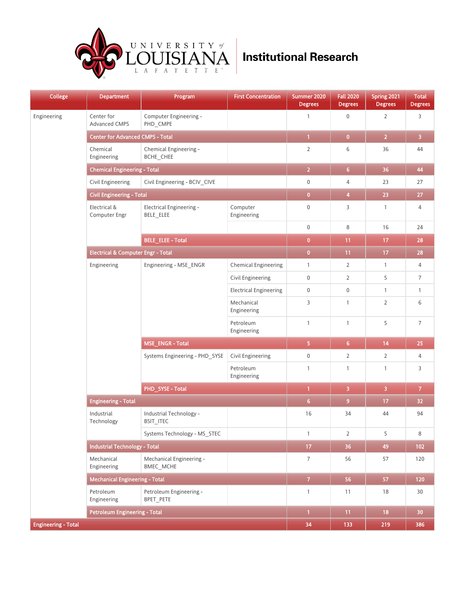

| College                    | <b>Department</b>                       | Program<br>__                         | <b>First Concentration</b>    | Summer 2020<br><b>Degrees</b> | <b>Fall 2020</b><br><b>Degrees</b> | Spring 2021<br><b>Degrees</b> | <b>Total</b><br><b>Degrees</b> |
|----------------------------|-----------------------------------------|---------------------------------------|-------------------------------|-------------------------------|------------------------------------|-------------------------------|--------------------------------|
| Engineering                | Center for<br><b>Advanced CMPS</b>      | Computer Engineering -<br>PHD_CMPE    |                               | $\mathbf{1}$                  | $\boldsymbol{0}$                   | $\overline{2}$                | 3                              |
|                            | <b>Center for Advanced CMPS - Total</b> |                                       |                               | $\overline{1}$                | $\bullet$                          | $\overline{2}$                | $\overline{\mathbf{3}}$        |
|                            | Chemical<br>Engineering                 | Chemical Engineering -<br>BCHE_CHEE   |                               | $\overline{2}$                | 6                                  | 36                            | 44                             |
|                            | <b>Chemical Engineering - Total</b>     |                                       |                               | $\overline{2}$                | 6 <sup>1</sup>                     | 36                            | 44                             |
|                            | Civil Engineering                       | Civil Engineering - BCIV_CIVE         |                               | $\boldsymbol{0}$              | 4                                  | 23                            | 27                             |
|                            | <b>Civil Engineering - Total</b>        |                                       |                               | $\overline{\mathbf{0}}$       | $\overline{\mathbf{4}}$            | 23                            | $27\,$                         |
|                            | Electrical &<br>Computer Engr           | Electrical Engineering -<br>BELE_ELEE | Computer<br>Engineering       | $\mathbf 0$                   | 3                                  | $\mathbf{1}$                  | 4                              |
|                            |                                         |                                       |                               | $\boldsymbol{0}$              | 8                                  | 16                            | 24                             |
|                            |                                         | <b>BELE_ELEE - Total</b>              |                               | $\overline{0}$                | 11                                 | 17                            | 28                             |
|                            | Electrical & Computer Engr - Total      |                                       |                               | $\bullet$                     | 11                                 | 17                            | 28                             |
|                            | Engineering                             | Engineering - MSE ENGR                | <b>Chemical Engineering</b>   | $\mathbf{1}$                  | $\overline{2}$                     | $\mathbf{1}$                  | 4                              |
|                            |                                         |                                       | Civil Engineering             | $\boldsymbol{0}$              | $\overline{2}$                     | 5                             | $\overline{7}$                 |
|                            |                                         |                                       | <b>Electrical Engineering</b> | $\boldsymbol{0}$              | $\boldsymbol{0}$                   | $\mathbf{1}$                  | $\mathbf{1}$                   |
|                            |                                         |                                       | Mechanical<br>Engineering     | 3                             | $\mathbf{1}$                       | $\overline{2}$                | 6                              |
|                            |                                         |                                       | Petroleum<br>Engineering      | $\mathbf{1}$                  | $\mathbf{1}$                       | 5                             | $\overline{7}$                 |
|                            |                                         | <b>MSE_ENGR-Total</b>                 |                               | 5                             | 6 <sup>1</sup>                     | 14                            | 25                             |
|                            |                                         | Systems Engineering - PHD SYSE        | Civil Engineering             | $\boldsymbol{0}$              | $\overline{2}$                     | $\overline{2}$                | 4                              |
|                            |                                         |                                       | Petroleum<br>Engineering      | $\mathbf{1}$                  | $\mathbf{1}$                       | $\mathbf{1}$                  | 3                              |
|                            |                                         | PHD_SYSE - Total                      |                               | $\mathbf{1}$                  | 3                                  | 3                             | $\overline{7}$                 |
|                            | <b>Engineering - Total</b>              |                                       |                               | 6 <sup>1</sup>                | 9                                  | $17\,$                        | 32                             |
|                            | Industrial<br>Technology                | Industrial Technology -<br>BSIT_ITEC  |                               | 16                            | 34                                 | 44                            | 94                             |
|                            |                                         | Systems Technology - MS_STEC          |                               | $\mathbf{1}$                  | $\overline{2}$                     | 5                             | 8                              |
|                            | <b>Industrial Technology - Total</b>    |                                       |                               | 17 <sub>2</sub>               | 36                                 | 49                            | 102                            |
|                            | Mechanical<br>Engineering               | Mechanical Engineering -<br>BMEC MCHE |                               | $\overline{7}$                | 56                                 | 57                            | 120                            |
|                            | <b>Mechanical Engineering - Total</b>   |                                       |                               | 7 <sup>2</sup>                | 56                                 | 57                            | 120                            |
|                            | Petroleum<br>Engineering                | Petroleum Engineering -<br>BPET_PETE  |                               | $\mathbf{1}$                  | 11                                 | 18                            | 30                             |
|                            | <b>Petroleum Engineering - Total</b>    |                                       |                               | $\mathbf{1}$                  | 11                                 | 18                            | 30                             |
| <b>Engineering - Total</b> |                                         |                                       |                               | 34                            | 133                                | 219                           | 386                            |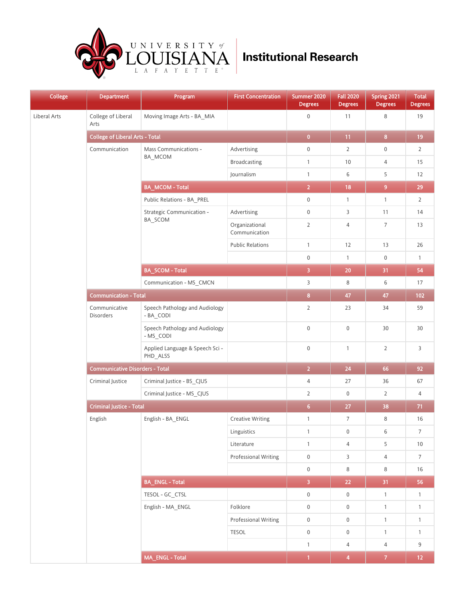

| <b>College</b> | <b>Department</b>                      | Program<br>__                               | <b>First Concentration</b>      | Summer 2020<br><b>Degrees</b> | <b>Fall 2020</b><br><b>Degrees</b> | Spring 2021<br><b>Degrees</b> | <b>Total</b><br><b>Degrees</b> |
|----------------|----------------------------------------|---------------------------------------------|---------------------------------|-------------------------------|------------------------------------|-------------------------------|--------------------------------|
| Liberal Arts   | College of Liberal<br>Arts             | Moving Image Arts - BA_MIA                  |                                 | $\boldsymbol{0}$              | 11                                 | 8                             | 19                             |
|                | <b>College of Liberal Arts - Total</b> |                                             |                                 | $\bullet$                     | 11                                 | $\bf 8$                       | 19                             |
|                | Communication                          | Mass Communications -                       | Advertising                     | $\mathbf 0$                   | $\overline{2}$                     | $\boldsymbol{0}$              | $\overline{2}$                 |
|                |                                        | BA_MCOM                                     | Broadcasting                    | $\mathbf{1}$                  | 10                                 | 4                             | 15                             |
|                |                                        |                                             | Journalism                      | $\mathbf{1}$                  | 6                                  | 5                             | 12                             |
|                |                                        | <b>BA_MCOM-Total</b>                        |                                 | $\overline{2}$                | 18                                 | 9 <sup>°</sup>                | 29                             |
|                |                                        | Public Relations - BA_PREL                  |                                 | $\boldsymbol{0}$              | $\mathbf{1}$                       | $\mathbf{1}$                  | $\overline{2}$                 |
|                |                                        | Strategic Communication -                   | Advertising                     | $\mathbf 0$                   | 3                                  | 11                            | 14                             |
|                |                                        | BA_SCOM                                     | Organizational<br>Communication | $\overline{2}$                | $\overline{4}$                     | $\overline{7}$                | 13                             |
|                |                                        |                                             | <b>Public Relations</b>         | $\mathbf{1}$                  | 12                                 | 13                            | 26                             |
|                |                                        |                                             |                                 | $\mathbf 0$                   | $\mathbf{1}$                       | $\mathbb O$                   | $\mathbf{1}$                   |
|                |                                        | <b>BA_SCOM - Total</b>                      |                                 | $\overline{\mathbf{3}}$       | 20                                 | 31                            | 54                             |
|                |                                        | Communication - MS CMCN                     |                                 | $\overline{3}$                | 8                                  | 6                             | 17                             |
|                | <b>Communication - Total</b>           |                                             | $\bf8$                          | 47                            | 47                                 | 102                           |                                |
|                | Communicative<br>Disorders             | Speech Pathology and Audiology<br>- BA_CODI |                                 | $\overline{2}$                | 23                                 | 34                            | 59                             |
|                |                                        | Speech Pathology and Audiology<br>- MS_CODI |                                 | $\mathbf 0$                   | $\mathbb O$                        | 30                            | 30                             |
|                |                                        | Applied Language & Speech Sci -<br>PHD_ALSS |                                 | $\mathbf 0$                   | $\mathbf{1}$                       | $\overline{2}$                | 3                              |
|                | <b>Communicative Disorders - Total</b> |                                             | $\overline{2}$                  | 24                            | 66                                 | 92                            |                                |
|                | Criminal Justice                       | Criminal Justice - BS_CJUS                  |                                 | $\overline{4}$                | 27                                 | 36                            | 67                             |
|                |                                        | Criminal Justice - MS_CJUS                  |                                 | $\overline{2}$                | $\mathsf 0$                        | $\overline{2}$                | 4                              |
|                | <b>Criminal Justice - Total</b>        |                                             |                                 | 6 <sub>1</sub>                | 27                                 | 38                            | 71                             |
|                | English                                | English - BA_ENGL                           | <b>Creative Writing</b>         | $\mathbf{1}$                  | $\overline{7}$                     | 8                             | 16                             |
|                |                                        |                                             | Linguistics                     | $\mathbf{1}$                  | $\boldsymbol{0}$                   | 6                             | $\boldsymbol{7}$               |
|                |                                        |                                             | Literature                      | $\mathbf{1}$                  | $\overline{4}$                     | 5                             | $10\,$                         |
|                |                                        |                                             | <b>Professional Writing</b>     | $\boldsymbol{0}$              | 3                                  | $\overline{4}$                | $7\overline{ }$                |
|                |                                        |                                             |                                 | $\mathbf 0$                   | 8                                  | $\,8\,$                       | 16                             |
|                |                                        | <b>BA_ENGL-Total</b>                        |                                 | $\overline{3}$                | 22                                 | 31                            | 56                             |
|                |                                        | TESOL - GC_CTSL                             |                                 | $\mathbf 0$                   | $\mathbf 0$                        | $\overline{1}$                | $\mathbf{1}$                   |
|                |                                        | English - MA_ENGL                           | Folklore                        | $\boldsymbol{0}$              | $\mathsf{O}\xspace$                | $\mathbf{1}$                  | $\mathbf{1}$                   |
|                |                                        |                                             | <b>Professional Writing</b>     | $\mathbf 0$                   | $\boldsymbol{0}$                   | $\mathbf{1}$                  | $\mathbf{1}$                   |
|                |                                        |                                             | <b>TESOL</b>                    | $\mathsf{O}\xspace$           | $\mathsf{O}\xspace$                | $\mathbf{1}$                  | $\mathbf{1}$                   |
|                |                                        |                                             |                                 | $\mathbf{1}$                  | $\overline{4}$                     | $\overline{4}$                | 9                              |
|                |                                        | MA_ENGL - Total                             |                                 | $\overline{1}$                | $\overline{\mathbf{4}}$            | 7 <sup>°</sup>                | 12 <sub>1</sub>                |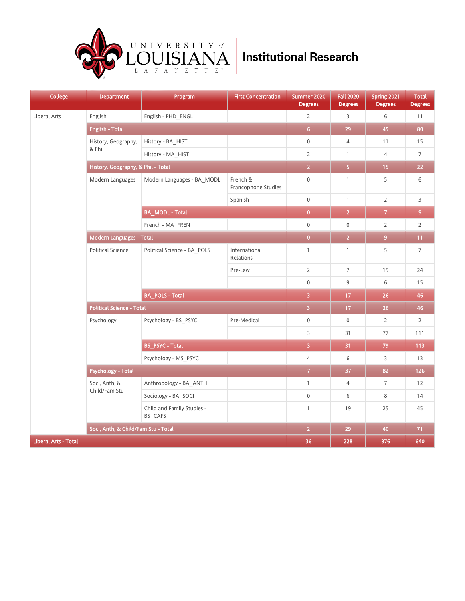

| <b>College</b>              | <b>Department</b>                   | Program<br>ـ                          | <b>First Concentration</b>      | Summer 2020<br><b>Degrees</b> | <b>Fall 2020</b><br><b>Degrees</b> | Spring 2021<br><b>Degrees</b> | <b>Total</b><br><b>Degrees</b> |
|-----------------------------|-------------------------------------|---------------------------------------|---------------------------------|-------------------------------|------------------------------------|-------------------------------|--------------------------------|
| Liberal Arts                | English                             | English - PHD_ENGL                    |                                 | $\overline{2}$                | $\mathsf 3$                        | 6                             | 11                             |
|                             | <b>English - Total</b>              |                                       |                                 | 6 <sub>1</sub>                | 29                                 | 45                            | 80                             |
|                             | History, Geography,                 | History - BA_HIST                     |                                 | $\boldsymbol{0}$              | $\sqrt{4}$                         | 11                            | 15                             |
|                             | & Phil                              | History - MA_HIST                     |                                 | $\overline{2}$                | $\mathbf{1}$                       | $\overline{4}$                | $\overline{7}$                 |
|                             | History, Geography, & Phil - Total  |                                       |                                 | $\overline{2}$                | 5 <sup>°</sup>                     | 15                            | 22                             |
|                             | Modern Languages                    | Modern Languages - BA_MODL            | French &<br>Francophone Studies | $\mathbf 0$                   | $\mathbf{1}$                       | 5                             | 6                              |
|                             |                                     |                                       | Spanish                         | $\mathbf 0$                   | $\mathbf{1}$                       | $\overline{2}$                | $\overline{3}$                 |
|                             |                                     | <b>BA_MODL - Total</b>                |                                 | $\overline{0}$                | $\overline{2}$                     | $\overline{7}$                | $\overline{9}$                 |
|                             |                                     | French - MA_FREN                      |                                 | $\boldsymbol{0}$              | $\mathbb O$                        | $\overline{2}$                | $\overline{2}$                 |
|                             | <b>Modern Languages - Total</b>     |                                       | $\overline{0}$                  | $\overline{2}$                | $\overline{9}$                     | 11                            |                                |
|                             | <b>Political Science</b>            | Political Science - BA_POLS           | International<br>Relations      | $\mathbf{1}$                  | $\mathbf{1}$                       | 5                             | $\overline{7}$                 |
|                             |                                     |                                       | Pre-Law                         | $\overline{2}$                | $\overline{7}$                     | 15                            | 24                             |
|                             |                                     |                                       |                                 | $\mathbf 0$                   | 9                                  | 6                             | 15                             |
|                             |                                     | <b>BA_POLS - Total</b>                |                                 | $\overline{\mathbf{3}}$       | 17                                 | 26                            | 46                             |
|                             | <b>Political Science - Total</b>    |                                       |                                 | $\overline{3}$                | 17                                 | 26                            | 46                             |
|                             | Psychology                          | Psychology - BS_PSYC                  | Pre-Medical                     | $\mathbf 0$                   | $\mathbf 0$                        | $\overline{2}$                | $\overline{2}$                 |
|                             |                                     |                                       |                                 | $\overline{3}$                | 31                                 | $77\,$                        | 111                            |
|                             |                                     | <b>BS_PSYC - Total</b>                |                                 | $\overline{\mathbf{3}}$       | 31                                 | 79                            | 113                            |
|                             |                                     | Psychology - MS_PSYC                  |                                 | $\sqrt{4}$                    | 6                                  | 3                             | 13                             |
|                             | <b>Psychology - Total</b>           |                                       |                                 | $\overline{7}$                | 37                                 | 82                            | 126                            |
|                             | Soci, Anth, &                       | Anthropology - BA_ANTH                |                                 | $\mathbf{1}$                  | $\sqrt{4}$                         | $\overline{7}$                | 12                             |
|                             | Child/Fam Stu                       | Sociology - BA SOCI                   |                                 | $\mathbf 0$                   | 6                                  | 8                             | 14                             |
|                             |                                     | Child and Family Studies -<br>BS_CAFS |                                 | $\mathbf{1}$                  | 19                                 | 25                            | 45                             |
|                             | Soci, Anth, & Child/Fam Stu - Total |                                       |                                 | $\overline{2}$                | 29                                 | 40                            | 71                             |
| <b>Liberal Arts - Total</b> |                                     |                                       |                                 | 36                            | 228                                | 376                           | 640                            |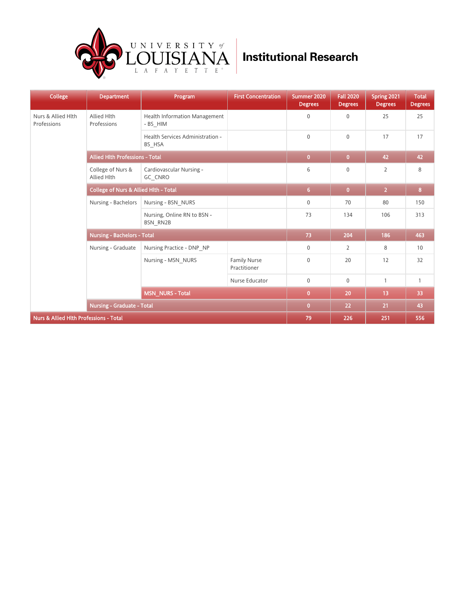

| <b>College</b>                                    | <b>Department</b>                                | Program                                          | <b>First Concentration</b>          | Summer 2020<br><b>Degrees</b> | <b>Fall 2020</b><br><b>Degrees</b> | Spring 2021<br><b>Degrees</b> | <b>Total</b><br><b>Degrees</b> |
|---------------------------------------------------|--------------------------------------------------|--------------------------------------------------|-------------------------------------|-------------------------------|------------------------------------|-------------------------------|--------------------------------|
| Nurs & Allied Hlth<br>Professions                 | Allied Hlth<br>Professions                       | <b>Health Information Management</b><br>- BS HIM |                                     | $\mathbf 0$                   | $\mathbf{0}$                       | 25                            | 25                             |
|                                                   |                                                  | Health Services Administration -<br>BS_HSA       |                                     | $\mathbf 0$                   | $\mathbf{0}$                       | 17                            | 17                             |
|                                                   | <b>Allied Hith Professions - Total</b>           | $\overline{0}$                                   | $\bf{0}$                            | 42                            | 42                                 |                               |                                |
|                                                   | College of Nurs &<br>Allied Hlth                 | Cardiovascular Nursing -<br>GC CNRO              |                                     | 6                             | $\mathbf 0$                        | 2                             | 8                              |
|                                                   | <b>College of Nurs &amp; Allied Hith - Total</b> |                                                  |                                     | $6\phantom{1}$                | $\bullet$                          | $\overline{2}$                | 8 <sup>1</sup>                 |
|                                                   | Nursing - Bachelors                              | Nursing - BSN NURS                               |                                     | $\mathbf 0$                   | 70                                 | 80                            | 150                            |
|                                                   |                                                  | Nursing, Online RN to BSN -<br><b>BSN RN2B</b>   |                                     | 73                            | 134                                | 106                           | 313                            |
|                                                   | <b>Nursing - Bachelors - Total</b>               |                                                  |                                     | 73                            | 204                                | 186                           | 463                            |
|                                                   | Nursing - Graduate                               | Nursing Practice - DNP NP                        |                                     | $\mathbf 0$                   | $\overline{2}$                     | 8                             | 10                             |
|                                                   |                                                  | Nursing - MSN NURS                               | <b>Family Nurse</b><br>Practitioner | $\mathbf 0$                   | 20                                 | 12                            | 32                             |
|                                                   |                                                  |                                                  | Nurse Educator                      | $\mathbf 0$                   | $\mathbf 0$                        | $\mathbf{1}$                  | $\mathbf{1}$                   |
|                                                   |                                                  | <b>MSN_NURS - Total</b>                          |                                     | $\overline{0}$                | 20                                 | 13                            | 33                             |
|                                                   | <b>Nursing - Graduate - Total</b>                |                                                  |                                     | $\overline{0}$                | 22                                 | 21                            | 43                             |
| <b>Nurs &amp; Allied Hlth Professions - Total</b> |                                                  |                                                  | 79                                  | 226                           | 251                                | 556                           |                                |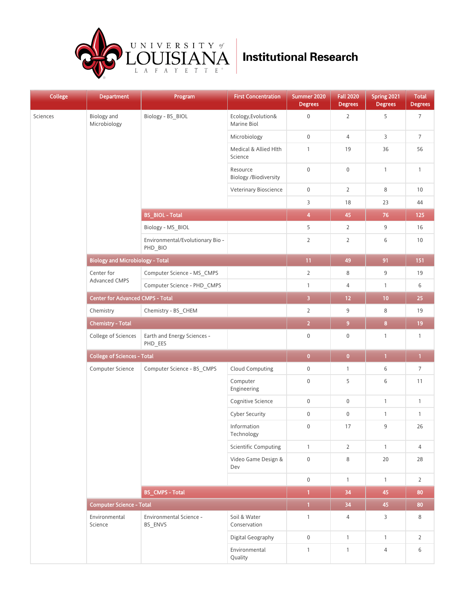

| <b>College</b> | <b>Department</b>                       | Program<br>__                               | <b>First Concentration</b>         | Summer 2020<br><b>Degrees</b> | <b>Fall 2020</b><br><b>Degrees</b> | Spring 2021<br><b>Degrees</b> | Total<br><b>Degrees</b> |
|----------------|-----------------------------------------|---------------------------------------------|------------------------------------|-------------------------------|------------------------------------|-------------------------------|-------------------------|
| Sciences       | <b>Biology</b> and<br>Microbiology      | Biology - BS_BIOL                           | Ecology, Evolution&<br>Marine Biol | $\boldsymbol{0}$              | $\overline{2}$                     | 5                             | $\overline{7}$          |
|                |                                         |                                             | Microbiology                       | $\boldsymbol{0}$              | $\overline{4}$                     | $\mathsf{3}$                  | $\overline{7}$          |
|                |                                         |                                             | Medical & Allied Hlth<br>Science   | $\mathbf{1}$                  | 19                                 | 36                            | 56                      |
|                |                                         |                                             | Resource<br>Biology /Biodiversity  | $\boldsymbol{0}$              | $\boldsymbol{0}$                   | $\mathbf{1}$                  | $\mathbf{1}$            |
|                |                                         |                                             | Veterinary Bioscience              | $\boldsymbol{0}$              | $\overline{2}$                     | $\,8\,$                       | 10                      |
|                |                                         |                                             |                                    | 3                             | 18                                 | 23                            | 44                      |
|                |                                         | <b>BS_BIOL - Total</b>                      |                                    | $\overline{\mathbf{4}}$       | 45                                 | $76\,$                        | 125                     |
|                |                                         | Biology - MS_BIOL                           |                                    | 5                             | $\overline{2}$                     | 9                             | 16                      |
|                |                                         | Environmental/Evolutionary Bio -<br>PHD_BIO |                                    | $\overline{2}$                | $\mathbf{2}$                       | 6                             | 10                      |
|                | <b>Biology and Microbiology - Total</b> |                                             |                                    | 11                            | 49                                 | 91                            | 151                     |
|                | Center for                              | Computer Science - MS_CMPS                  |                                    | $\overline{2}$                | 8                                  | $\boldsymbol{9}$              | 19                      |
|                | Advanced CMPS                           | Computer Science - PHD_CMPS                 |                                    | $\mathbf{1}$                  | 4                                  | $\mathbf{1}$                  | 6                       |
|                | <b>Center for Advanced CMPS - Total</b> |                                             |                                    | $\overline{\mathbf{3}}$       | $12$                               | 10                            | 25                      |
|                | Chemistry                               | Chemistry - BS_CHEM                         |                                    | $\overline{2}$                | 9                                  | $\,8\,$                       | 19                      |
|                | <b>Chemistry - Total</b>                |                                             |                                    | $\overline{2}$                | 9 <sup>°</sup>                     | $\overline{\mathbf{8}}$       | 19                      |
|                | College of Sciences                     | Earth and Energy Sciences -<br>PHD_EES      |                                    | $\boldsymbol{0}$              | $\boldsymbol{0}$                   | $\mathbf{1}$                  | $\mathbf{1}$            |
|                | <b>College of Sciences - Total</b>      |                                             |                                    | $\pmb{0}$                     | $\overline{\mathbf{0}}$            | $\mathbf{1}$                  | $\mathbf{1}$            |
|                | Computer Science                        | Computer Science - BS_CMPS                  | <b>Cloud Computing</b>             | $\boldsymbol{0}$              | $\mathbf{1}$                       | 6                             | $\overline{7}$          |
|                |                                         |                                             | Computer<br>Engineering            | $\boldsymbol{0}$              | 5                                  | 6                             | 11                      |
|                |                                         |                                             | Cognitive Science                  | $\boldsymbol{0}$              | $\boldsymbol{0}$                   | $\mathbf{1}$                  | $\mathbf{1}$            |
|                |                                         |                                             | <b>Cyber Security</b>              | $\boldsymbol{0}$              | $\boldsymbol{0}$                   | $\mathbf{1}$                  | $\mathbf{1}$            |
|                |                                         |                                             | Information<br>Technology          | $\mathbf 0$                   | 17                                 | $\mathsf 9$                   | 26                      |
|                |                                         |                                             | <b>Scientific Computing</b>        | $\mathbf{1}$                  | $\overline{2}$                     | $\mathbf{1}$                  | $\overline{4}$          |
|                |                                         |                                             | Video Game Design &<br>Dev         | $\boldsymbol{0}$              | 8                                  | 20                            | 28                      |
|                |                                         |                                             |                                    | $\mathbf 0$                   | $\mathbf{1}$                       | $\mathbf{1}$                  | $\overline{2}$          |
|                |                                         | <b>BS_CMPS - Total</b>                      |                                    | $\mathbf{1}$                  | 34                                 | 45                            | 80                      |
|                | <b>Computer Science - Total</b>         |                                             |                                    | $\overline{1}$                | 34                                 | 45                            | 80                      |
|                | Environmental<br>Science                | Environmental Science -<br>BS_ENVS          | Soil & Water<br>Conservation       | $\mathbf{1}$                  | $\overline{4}$                     | $\mathsf{3}$                  | 8                       |
|                |                                         |                                             | Digital Geography                  | $\mathbf 0$                   | $\mathbf{1}$                       | $\mathbf{1}$                  | $\overline{2}$          |
|                |                                         |                                             | Environmental<br>Quality           | $\mathbf{1}$                  | $\mathbf{1}$                       | $\overline{4}$                | 6                       |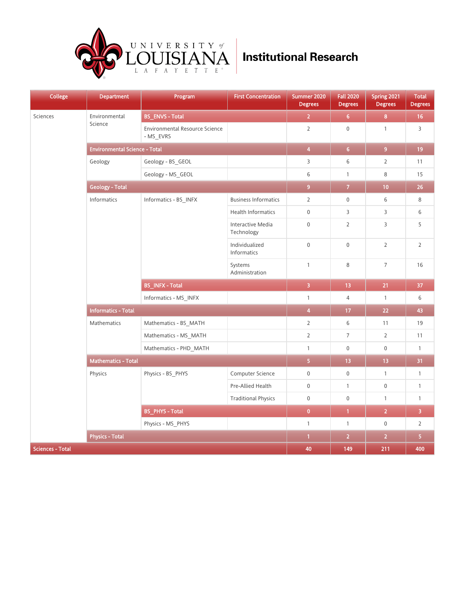

| College                 | <b>Department</b>                    | Program<br>__                               | <b>First Concentration</b>      | Summer 2020<br><b>Degrees</b> | <b>Fall 2020</b><br><b>Degrees</b> | Spring 2021<br><b>Degrees</b> | <b>Total</b><br><b>Degrees</b> |
|-------------------------|--------------------------------------|---------------------------------------------|---------------------------------|-------------------------------|------------------------------------|-------------------------------|--------------------------------|
| Sciences                | Environmental<br>Science             | <b>BS_ENVS - Total</b>                      |                                 | $\overline{2}$                | 6 <sup>7</sup>                     | 8                             | 16                             |
|                         |                                      | Environmental Resource Science<br>- MS_EVRS |                                 | $\mathsf 2$                   | $\mathbf 0$                        | $\mathbf{1}$                  | 3                              |
|                         | <b>Environmental Science - Total</b> |                                             |                                 | $\overline{\mathbf{4}}$       | 6 <sub>1</sub>                     | $\overline{9}$                | 19                             |
|                         | Geology                              | Geology - BS_GEOL                           |                                 | 3                             | 6                                  | $\overline{2}$                | 11                             |
|                         |                                      | Geology - MS_GEOL                           |                                 | 6                             | $\mathbf{1}$                       | 8                             | 15                             |
|                         | <b>Geology - Total</b>               |                                             |                                 | $\overline{9}$                | $\overline{7}$                     | 10                            | 26                             |
|                         | Informatics                          | Informatics - BS_INFX                       | <b>Business Informatics</b>     | $\overline{2}$                | $\boldsymbol{0}$                   | 6                             | 8                              |
|                         |                                      |                                             | <b>Health Informatics</b>       | $\mathbf 0$                   | $\mathsf{3}$                       | $\mathsf{3}$                  | 6                              |
|                         |                                      |                                             | Interactive Media<br>Technology | $\mathbf 0$                   | $\overline{2}$                     | 3                             | 5                              |
|                         |                                      |                                             | Individualized<br>Informatics   | $\boldsymbol{0}$              | $\mathbf 0$                        | $\overline{2}$                | $\overline{2}$                 |
|                         |                                      |                                             | Systems<br>Administration       | $\mathbf{1}$                  | 8                                  | $\overline{7}$                | 16                             |
|                         |                                      | <b>BS_INFX - Total</b>                      |                                 | $\overline{3}$                | 13                                 | 21                            | 37                             |
|                         |                                      | Informatics - MS_INFX                       |                                 | $\mathbf{1}$                  | $\overline{4}$                     | $\mathbbm{1}$                 | 6                              |
|                         | <b>Informatics - Total</b>           |                                             |                                 | $\overline{\mathbf{4}}$       | 17                                 | 22                            | 43                             |
|                         | Mathematics                          | Mathematics - BS_MATH                       |                                 | $\overline{2}$                | 6                                  | 11                            | 19                             |
|                         |                                      | Mathematics - MS_MATH                       |                                 | $\overline{2}$                | $\overline{7}$                     | $\overline{2}$                | 11                             |
|                         |                                      | Mathematics - PHD_MATH                      |                                 | $\mathbf{1}$                  | $\mathbf 0$                        | $\mathbf 0$                   | $\mathbf{1}$                   |
|                         | <b>Mathematics - Total</b>           |                                             |                                 | $\overline{\mathbf{5}}$       | 13                                 | 13                            | 31                             |
|                         | Physics                              | Physics - BS_PHYS                           | Computer Science                | $\mathbf 0$                   | $\mathbf 0$                        | $\mathbf{1}$                  | $\mathbf{1}$                   |
|                         |                                      |                                             | Pre-Allied Health               | $\boldsymbol{0}$              | $\mathbf{1}$                       | $\mathbf 0$                   | $\mathbf{1}$                   |
|                         |                                      |                                             | <b>Traditional Physics</b>      | $\boldsymbol{0}$              | $\mathbf 0$                        | $\mathbf{1}$                  | $\mathbf{1}$                   |
|                         |                                      | <b>BS_PHYS - Total</b>                      |                                 | $\pmb{0}$                     | $\mathbf{1}$                       | $\overline{2}$                | $\overline{3}$                 |
|                         |                                      | Physics - MS_PHYS                           |                                 | $\mathbf{1}$                  | $\mathbf{1}$                       | $\mathsf{O}\xspace$           | $\mathbf{2}$                   |
|                         | <b>Physics - Total</b>               |                                             |                                 | $\mathbf{1}$                  | $\overline{2}$                     | $\overline{2}$                | $\overline{\mathbf{5}}$        |
| <b>Sciences - Total</b> |                                      |                                             | 40                              | 149                           | 211                                | 400                           |                                |